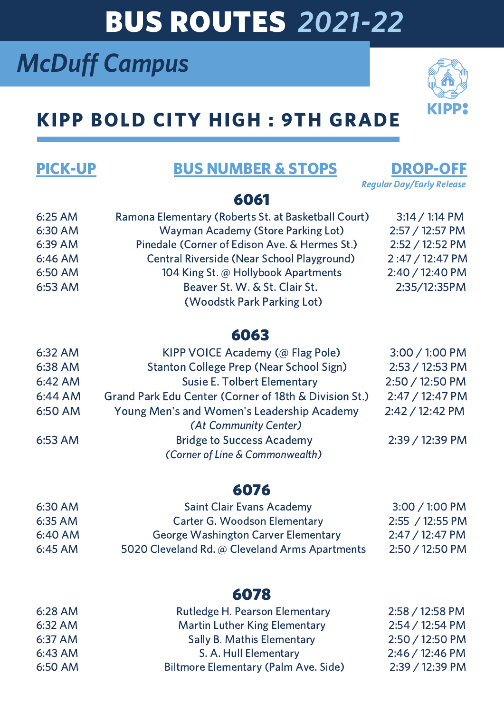# BUS ROUTES 2021-22

# McDuff Campus

## KIPP BOLD CITY HIGH : 9TH GRADE

## PICK-UP BUS NUMBER & STOPS DROP-OFF

Regular Day/Early Release

### 6061

| 6:25 AM | Ramona Elementary (Roberts St. at Basketball Court) | $3:14 / 1:14$ PM |
|---------|-----------------------------------------------------|------------------|
| 6:30 AM | <b>Wayman Academy (Store Parking Lot)</b>           | 2:57 / 12:57 PM  |
| 6:39 AM | Pinedale (Corner of Edison Ave. & Hermes St.)       | 2:52 / 12:52 PM  |
| 6:46 AM | Central Riverside (Near School Playground)          | 2:47 / 12:47 PM  |
| 6:50 AM | 104 King St. @ Hollybook Apartments                 | 2:40 / 12:40 PM  |
| 6:53 AM | Beaver St. W. & St. Clair St.                       | 2:35/12:35PM     |
|         | (Woodstk Park Parking Lot)                          |                  |

### 6063

| 6:32 AM | KIPP VOICE Academy (@ Flag Pole)                      | 3:00 / 1:00 PM  |
|---------|-------------------------------------------------------|-----------------|
| 6:38 AM | Stanton College Prep (Near School Sign)               | 2:53 / 12:53 PM |
| 6:42 AM | <b>Susie E. Tolbert Elementary</b>                    | 2:50 / 12:50 PM |
| 6:44 AM | Grand Park Edu Center (Corner of 18th & Division St.) | 2:47 / 12:47 PM |
| 6:50 AM | Young Men's and Women's Leadership Academy            | 2:42 / 12:42 PM |
|         | (At Community Center)                                 |                 |
| 6:53 AM | <b>Bridge to Success Academy</b>                      | 2:39 / 12:39 PM |
|         | (Corner of Line & Commonwealth)                       |                 |

### 6076

| 6:30 AM   | <b>Saint Clair Evans Academy</b>               | $3:00 / 1:00$ PM        |
|-----------|------------------------------------------------|-------------------------|
| $6:35$ AM | <b>Carter G. Woodson Elementary</b>            | 2:55 / 12:55 PM         |
| $6:40$ AM | <b>George Washington Carver Elementary</b>     | $2:47/12:47 \text{ PM}$ |
| $6:45$ AM | 5020 Cleveland Rd. @ Cleveland Arms Apartments | $2:50 / 12:50$ PM       |

### 6078

| 6:28 AM | Rutledge H. Pearson Elementary       | 2:58 / 12:58 PM |
|---------|--------------------------------------|-----------------|
| 6:32 AM | <b>Martin Luther King Elementary</b> | 2:54 / 12:54 PM |
| 6:37 AM | <b>Sally B. Mathis Elementary</b>    | 2:50 / 12:50 PM |
| 6:43 AM | S. A. Hull Elementary                | 2:46 / 12:46 PM |
| 6:50 AM | Biltmore Elementary (Palm Ave. Side) | 2:39 / 12:39 PM |